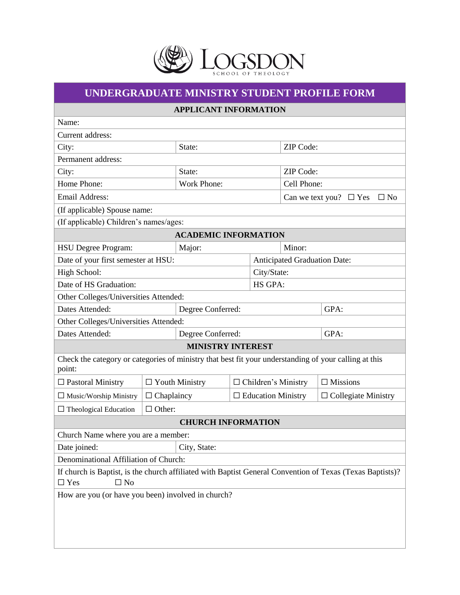

## **UNDERGRADUATE MINISTRY STUDENT PROFILE FORM**

|  | <b>APPLICANT INFORMATION</b> |
|--|------------------------------|
|--|------------------------------|

| Name:                                                                                                                                |                       |                             |                                          |                            |                                     |                            |  |
|--------------------------------------------------------------------------------------------------------------------------------------|-----------------------|-----------------------------|------------------------------------------|----------------------------|-------------------------------------|----------------------------|--|
| Current address:                                                                                                                     |                       |                             |                                          |                            |                                     |                            |  |
| City:                                                                                                                                |                       | State:                      |                                          | ZIP Code:                  |                                     |                            |  |
| Permanent address:                                                                                                                   |                       |                             |                                          |                            |                                     |                            |  |
| City:                                                                                                                                |                       | State:                      |                                          | ZIP Code:                  |                                     |                            |  |
| Home Phone:                                                                                                                          |                       | Work Phone:                 |                                          |                            | Cell Phone:                         |                            |  |
| Email Address:                                                                                                                       |                       |                             | Can we text you? $\Box$ Yes<br>$\Box$ No |                            |                                     |                            |  |
| (If applicable) Spouse name:                                                                                                         |                       |                             |                                          |                            |                                     |                            |  |
| (If applicable) Children's names/ages:                                                                                               |                       |                             |                                          |                            |                                     |                            |  |
|                                                                                                                                      |                       | <b>ACADEMIC INFORMATION</b> |                                          |                            |                                     |                            |  |
| <b>HSU</b> Degree Program:                                                                                                           |                       | Major:                      |                                          |                            | Minor:                              |                            |  |
| Date of your first semester at HSU:                                                                                                  |                       |                             |                                          |                            | <b>Anticipated Graduation Date:</b> |                            |  |
| High School:                                                                                                                         |                       |                             |                                          | City/State:                |                                     |                            |  |
| Date of HS Graduation:                                                                                                               |                       |                             |                                          |                            | HS GPA:                             |                            |  |
| Other Colleges/Universities Attended:                                                                                                |                       |                             |                                          |                            |                                     |                            |  |
| Dates Attended:                                                                                                                      |                       | Degree Conferred:           |                                          |                            |                                     | GPA:                       |  |
| Other Colleges/Universities Attended:                                                                                                |                       |                             |                                          |                            |                                     |                            |  |
| Dates Attended:                                                                                                                      |                       | Degree Conferred:           |                                          |                            |                                     | GPA:                       |  |
| <b>MINISTRY INTEREST</b>                                                                                                             |                       |                             |                                          |                            |                                     |                            |  |
| Check the category or categories of ministry that best fit your understanding of your calling at this<br>point:                      |                       |                             |                                          |                            |                                     |                            |  |
| $\Box$ Pastoral Ministry                                                                                                             | $\Box$ Youth Ministry |                             |                                          | $\Box$ Children's Ministry |                                     | $\Box$ Missions            |  |
| $\Box$ Music/Worship Ministry                                                                                                        | $\Box$ Chaplaincy     |                             | $\Box$ Education Ministry                |                            |                                     | $\Box$ Collegiate Ministry |  |
| $\Box$ Theological Education                                                                                                         | $\Box$ Other:         |                             |                                          |                            |                                     |                            |  |
| <b>CHURCH INFORMATION</b>                                                                                                            |                       |                             |                                          |                            |                                     |                            |  |
| Church Name where you are a member:                                                                                                  |                       |                             |                                          |                            |                                     |                            |  |
| City, State:<br>Date joined:                                                                                                         |                       |                             |                                          |                            |                                     |                            |  |
| Denominational Affiliation of Church:                                                                                                |                       |                             |                                          |                            |                                     |                            |  |
| If church is Baptist, is the church affiliated with Baptist General Convention of Texas (Texas Baptists)?<br>$\Box$ No<br>$\Box$ Yes |                       |                             |                                          |                            |                                     |                            |  |
| How are you (or have you been) involved in church?                                                                                   |                       |                             |                                          |                            |                                     |                            |  |
|                                                                                                                                      |                       |                             |                                          |                            |                                     |                            |  |
|                                                                                                                                      |                       |                             |                                          |                            |                                     |                            |  |
|                                                                                                                                      |                       |                             |                                          |                            |                                     |                            |  |
|                                                                                                                                      |                       |                             |                                          |                            |                                     |                            |  |